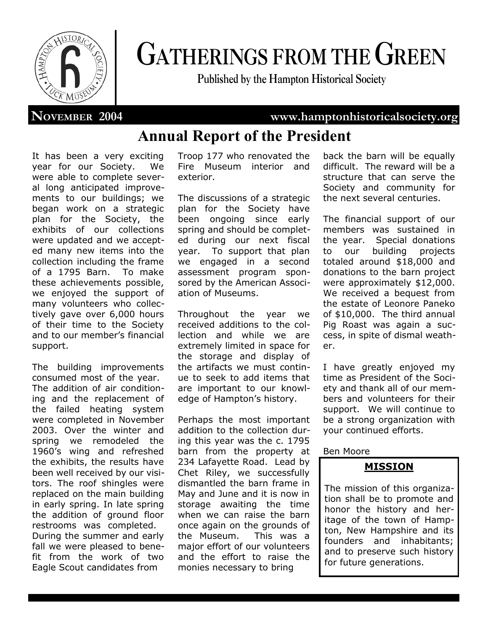

# **GATHERINGS FROM THE GREEN**

**Published by the Hampton Historical Society**

## **NOVEMBER 2004 www.hamptonhistoricalsociety.org**

# **Annual Report of the President**

It has been a very exciting year for our Society. We were able to complete several long anticipated improvements to our buildings; we began work on a strategic plan for the Society, the exhibits of our collections were updated and we accepted many new items into the collection including the frame of a 1795 Barn. To make these achievements possible, we enjoyed the support of many volunteers who collectively gave over 6,000 hours of their time to the Society and to our member's financial support.

The building improvements consumed most of the year. The addition of air conditioning and the replacement of the failed heating system were completed in November 2003. Over the winter and spring we remodeled the 1960's wing and refreshed the exhibits, the results have been well received by our visitors. The roof shingles were replaced on the main building in early spring. In late spring the addition of ground floor restrooms was completed. During the summer and early fall we were pleased to benefit from the work of two Eagle Scout candidates from

Troop 177 who renovated the Fire Museum interior and exterior.

The discussions of a strategic plan for the Society have been ongoing since early spring and should be completed during our next fiscal year. To support that plan we engaged in a second assessment program sponsored by the American Association of Museums.

Throughout the year we received additions to the collection and while we are extremely limited in space for the storage and display of the artifacts we must continue to seek to add items that are important to our knowledge of Hampton's history.

Perhaps the most important addition to the collection during this year was the c. 1795 barn from the property at 234 Lafayette Road. Lead by Chet Riley, we successfully dismantled the barn frame in May and June and it is now in storage awaiting the time when we can raise the barn once again on the grounds of the Museum. This was a major effort of our volunteers and the effort to raise the monies necessary to bring

back the barn will be equally difficult. The reward will be a structure that can serve the Society and community for the next several centuries.

The financial support of our members was sustained in the year. Special donations to our building projects totaled around \$18,000 and donations to the barn project were approximately \$12,000. We received a bequest from the estate of Leonore Paneko of \$10,000. The third annual Pig Roast was again a success, in spite of dismal weather.

I have greatly enjoyed my time as President of the Society and thank all of our members and volunteers for their support. We will continue to be a strong organization with your continued efforts.

## Ben Moore

## **MISSION**

The mission of this organization shall be to promote and honor the history and heritage of the town of Hampton, New Hampshire and its founders and inhabitants; and to preserve such history for future generations.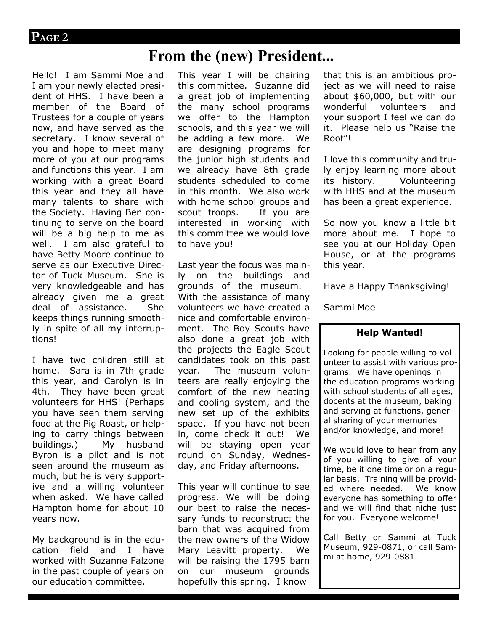## **From the (new) President...**

Hello! I am Sammi Moe and I am your newly elected president of HHS. I have been a member of the Board of Trustees for a couple of years now, and have served as the secretary. I know several of you and hope to meet many more of you at our programs and functions this year. I am working with a great Board this year and they all have many talents to share with the Society. Having Ben continuing to serve on the board will be a big help to me as well. I am also grateful to have Betty Moore continue to serve as our Executive Director of Tuck Museum. She is very knowledgeable and has already given me a great deal of assistance. She keeps things running smoothly in spite of all my interruptions!

I have two children still at home. Sara is in 7th grade this year, and Carolyn is in 4th. They have been great volunteers for HHS! (Perhaps you have seen them serving food at the Pig Roast, or helping to carry things between buildings.) My husband Byron is a pilot and is not seen around the museum as much, but he is very supportive and a willing volunteer when asked. We have called Hampton home for about 10 years now.

My background is in the education field and I have worked with Suzanne Falzone in the past couple of years on our education committee.

This year I will be chairing this committee. Suzanne did a great job of implementing the many school programs we offer to the Hampton schools, and this year we will be adding a few more. We are designing programs for the junior high students and we already have 8th grade students scheduled to come in this month. We also work with home school groups and scout troops. If you are interested in working with this committee we would love to have you!

Last year the focus was mainly on the buildings and grounds of the museum. With the assistance of many volunteers we have created a nice and comfortable environment. The Boy Scouts have also done a great job with the projects the Eagle Scout candidates took on this past year. The museum volunteers are really enjoying the comfort of the new heating and cooling system, and the new set up of the exhibits space. If you have not been in, come check it out! We will be staying open year round on Sunday, Wednesday, and Friday afternoons.

This year will continue to see progress. We will be doing our best to raise the necessary funds to reconstruct the barn that was acquired from the new owners of the Widow Mary Leavitt property. We will be raising the 1795 barn on our museum grounds hopefully this spring. I know

that this is an ambitious project as we will need to raise about \$60,000, but with our wonderful volunteers and your support I feel we can do it. Please help us "Raise the Roof"!

I love this community and truly enjoy learning more about its history. Volunteering with HHS and at the museum has been a great experience.

So now you know a little bit more about me. I hope to see you at our Holiday Open House, or at the programs this year.

Have a Happy Thanksgiving!

Sammi Moe

## **Help Wanted!**

Looking for people willing to volunteer to assist with various programs. We have openings in the education programs working with school students of all ages, docents at the museum, baking and serving at functions, general sharing of your memories and/or knowledge, and more!

We would love to hear from any of you willing to give of your time, be it one time or on a regular basis. Training will be provided where needed. We know everyone has something to offer and we will find that niche just for you. Everyone welcome!

Call Betty or Sammi at Tuck Museum, 929-0871, or call Sammi at home, 929-0881.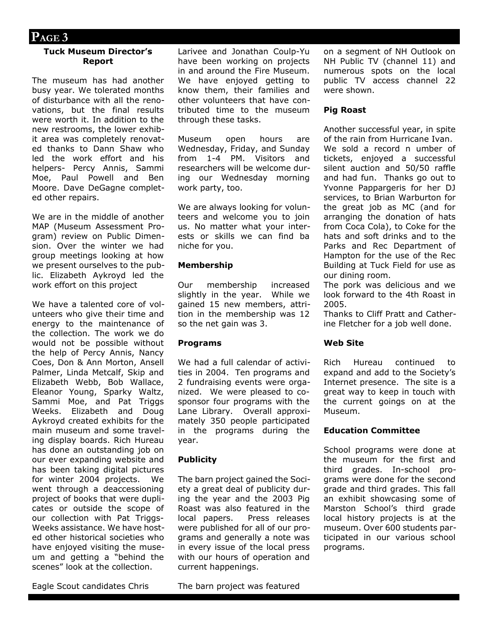## **PAGE 3**

#### **Tuck Museum Director's Report**

The museum has had another busy year. We tolerated months of disturbance with all the renovations, but the final results were worth it. In addition to the new restrooms, the lower exhibit area was completely renovated thanks to Dann Shaw who led the work effort and his helpers- Percy Annis, Sammi Moe, Paul Powell and Ben Moore. Dave DeGagne completed other repairs.

We are in the middle of another MAP (Museum Assessment Program) review on Public Dimension. Over the winter we had group meetings looking at how we present ourselves to the public. Elizabeth Aykroyd led the work effort on this project

We have a talented core of volunteers who give their time and energy to the maintenance of the collection. The work we do would not be possible without the help of Percy Annis, Nancy Coes, Don & Ann Morton, Ansell Palmer, Linda Metcalf, Skip and Elizabeth Webb, Bob Wallace, Eleanor Young, Sparky Waltz, Sammi Moe, and Pat Triggs Weeks. Elizabeth and Doug Aykroyd created exhibits for the main museum and some traveling display boards. Rich Hureau has done an outstanding job on our ever expanding website and has been taking digital pictures for winter 2004 projects. We went through a deaccessioning project of books that were duplicates or outside the scope of our collection with Pat Triggs-Weeks assistance. We have hosted other historical societies who have enjoyed visiting the museum and getting a "behind the scenes" look at the collection.

Larivee and Jonathan Coulp-Yu have been working on projects in and around the Fire Museum. We have enjoyed getting to know them, their families and other volunteers that have contributed time to the museum through these tasks.

Museum open hours are Wednesday, Friday, and Sunday from 1-4 PM. Visitors and researchers will be welcome during our Wednesday morning work party, too.

We are always looking for volunteers and welcome you to join us. No matter what your interests or skills we can find ba niche for you.

#### **Membership**

Our membership increased slightly in the year. While we gained 15 new members, attrition in the membership was 12 so the net gain was 3.

#### **Programs**

We had a full calendar of activities in 2004. Ten programs and 2 fundraising events were organized. We were pleased to cosponsor four programs with the Lane Library. Overall approximately 350 people participated in the programs during the year.

## **Publicity**

The barn project gained the Society a great deal of publicity during the year and the 2003 Pig Roast was also featured in the local papers. Press releases were published for all of our programs and generally a note was in every issue of the local press with our hours of operation and current happenings.

on a segment of NH Outlook on NH Public TV (channel 11) and numerous spots on the local public TV access channel 22 were shown.

## **Pig Roast**

Another successful year, in spite of the rain from Hurricane Ivan.

We sold a record n umber of tickets, enjoyed a successful silent auction and 50/50 raffle and had fun. Thanks go out to Yvonne Pappargeris for her DJ services, to Brian Warburton for the great job as MC (and for arranging the donation of hats from Coca Cola), to Coke for the hats and soft drinks and to the Parks and Rec Department of Hampton for the use of the Rec Building at Tuck Field for use as our dining room.

The pork was delicious and we look forward to the 4th Roast in 2005.

Thanks to Cliff Pratt and Catherine Fletcher for a job well done.

## **Web Site**

Rich Hureau continued to expand and add to the Society's Internet presence. The site is a great way to keep in touch with the current goings on at the Museum.

## **Education Committee**

School programs were done at the museum for the first and third grades. In-school programs were done for the second grade and third grades. This fall an exhibit showcasing some of Marston School's third grade local history projects is at the museum. Over 600 students participated in our various school programs.

Eagle Scout candidates Chris

The barn project was featured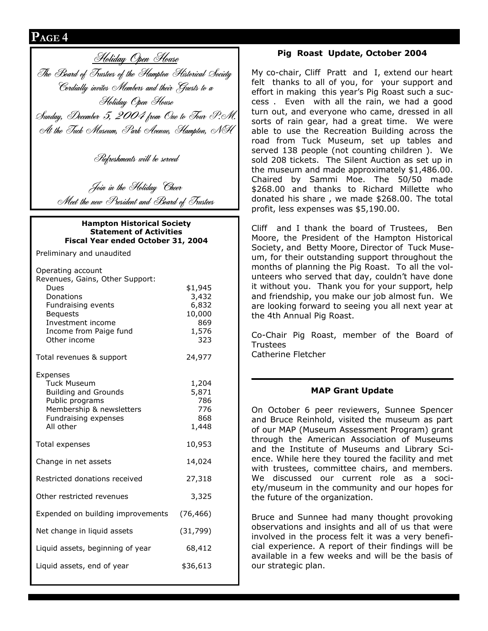## **PAGE 4**

Holiday Open House The Board of Trustees of the Hampton Historical Society Cordially invites Members and their Guests to a Holiday Open House Sunday, December 5, 2004 from One to Four P.M. At the Tuck Museum, Park Avenue, Hampton, NH

Refreshments will be served

Join in the Holiday Cheer Meet the new President and Board of Trustees

#### **Hampton Historical Society Statement of Activities Fiscal Year ended October 31, 2004**

Preliminary and unaudited

| Operating account<br>Revenues, Gains, Other Support:<br>Dues<br>Donations<br>Fundraising events<br><b>Bequests</b><br>Investment income<br>Income from Paige fund<br>Other income | \$1,945<br>3,432<br>6,832<br>10,000<br>869<br>1,576<br>323 |
|-----------------------------------------------------------------------------------------------------------------------------------------------------------------------------------|------------------------------------------------------------|
| Total revenues & support                                                                                                                                                          | 24,977                                                     |
| Expenses<br><b>Tuck Museum</b><br><b>Building and Grounds</b><br>Public programs<br>Membership & newsletters<br>Fundraising expenses<br>All other                                 | 1,204<br>5,871<br>786<br>776<br>868<br>1,448               |
| Total expenses                                                                                                                                                                    | 10,953                                                     |
| Change in net assets                                                                                                                                                              | 14,024                                                     |
| Restricted donations received<br>27,318                                                                                                                                           |                                                            |
| 3,325<br>Other restricted revenues                                                                                                                                                |                                                            |
| Expended on building improvements<br>(76, 466)                                                                                                                                    |                                                            |
| Net change in liquid assets<br>(31, 799)                                                                                                                                          |                                                            |
| Liquid assets, beginning of year<br>68,412                                                                                                                                        |                                                            |
| Liquid assets, end of year                                                                                                                                                        | \$36,613                                                   |
|                                                                                                                                                                                   |                                                            |

## **Pig Roast Update, October 2004**

My co-chair, Cliff Pratt and I, extend our heart felt thanks to all of you, for your support and effort in making this year's Pig Roast such a success . Even with all the rain, we had a good turn out, and everyone who came, dressed in all sorts of rain gear, had a great time. We were able to use the Recreation Building across the road from Tuck Museum, set up tables and served 138 people (not counting children ). We sold 208 tickets. The Silent Auction as set up in the museum and made approximately \$1,486.00. Chaired by Sammi Moe. The 50/50 made \$268.00 and thanks to Richard Millette who donated his share , we made \$268.00. The total profit, less expenses was \$5,190.00.

Cliff and I thank the board of Trustees, Ben Moore, the President of the Hampton Historical Society, and Betty Moore, Director of Tuck Museum, for their outstanding support throughout the months of planning the Pig Roast. To all the volunteers who served that day, couldn't have done it without you. Thank you for your support, help and friendship, you make our job almost fun. We are looking forward to seeing you all next year at the 4th Annual Pig Roast.

Co-Chair Pig Roast, member of the Board of Trustees Catherine Fletcher

## **MAP Grant Update**

On October 6 peer reviewers, Sunnee Spencer and Bruce Reinhold, visited the museum as part of our MAP (Museum Assessment Program) grant through the American Association of Museums and the Institute of Museums and Library Science. While here they toured the facility and met with trustees, committee chairs, and members. We discussed our current role as a society/museum in the community and our hopes for the future of the organization.

Bruce and Sunnee had many thought provoking observations and insights and all of us that were involved in the process felt it was a very beneficial experience. A report of their findings will be available in a few weeks and will be the basis of our strategic plan.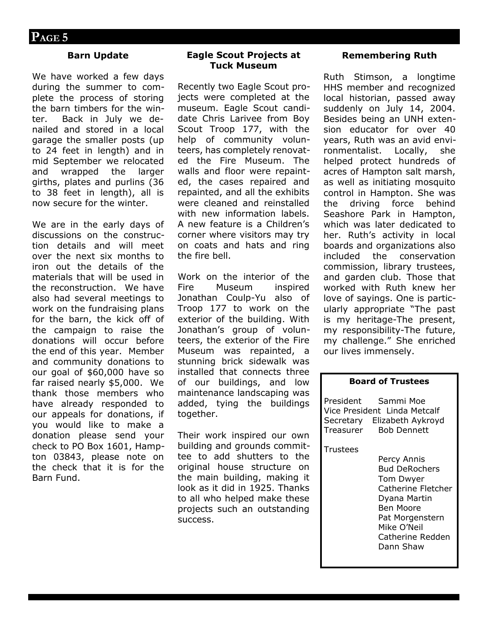## **Barn Update**

We have worked a few days during the summer to complete the process of storing the barn timbers for the winter. Back in July we denailed and stored in a local garage the smaller posts (up to 24 feet in length) and in mid September we relocated and wrapped the larger girths, plates and purlins (36 to 38 feet in length), all is now secure for the winter.

We are in the early days of discussions on the construction details and will meet over the next six months to iron out the details of the materials that will be used in the reconstruction. We have also had several meetings to work on the fundraising plans for the barn, the kick off of the campaign to raise the donations will occur before the end of this year. Member and community donations to our goal of \$60,000 have so far raised nearly \$5,000. We thank those members who have already responded to our appeals for donations, if you would like to make a donation please send your check to PO Box 1601, Hampton 03843, please note on the check that it is for the Barn Fund.

## **Eagle Scout Projects at Tuck Museum**

Recently two Eagle Scout projects were completed at the museum. Eagle Scout candidate Chris Larivee from Boy Scout Troop 177, with the help of community volunteers, has completely renovated the Fire Museum. The walls and floor were repainted, the cases repaired and repainted, and all the exhibits were cleaned and reinstalled with new information labels. A new feature is a Children's corner where visitors may try on coats and hats and ring the fire bell.

Work on the interior of the Fire Museum inspired Jonathan Coulp-Yu also of Troop 177 to work on the exterior of the building. With Jonathan's group of volunteers, the exterior of the Fire Museum was repainted, a stunning brick sidewalk was installed that connects three of our buildings, and low maintenance landscaping was added, tying the buildings together.

Their work inspired our own building and grounds committee to add shutters to the original house structure on the main building, making it look as it did in 1925. Thanks to all who helped make these projects such an outstanding success.

#### **Remembering Ruth**

Ruth Stimson, a longtime HHS member and recognized local historian, passed away suddenly on July 14, 2004. Besides being an UNH extension educator for over 40 years, Ruth was an avid environmentalist. Locally, she helped protect hundreds of acres of Hampton salt marsh, as well as initiating mosquito control in Hampton. She was the driving force behind Seashore Park in Hampton, which was later dedicated to her. Ruth's activity in local boards and organizations also included the conservation commission, library trustees, and garden club. Those that worked with Ruth knew her love of sayings. One is particularly appropriate "The past is my heritage-The present, my responsibility-The future, my challenge." She enriched our lives immensely.

#### **Board of Trustees**

President Sammi Moe Vice President Linda Metcalf Secretary Elizabeth Aykroyd Treasurer Bob Dennett

#### **Trustees**

Percy Annis Bud DeRochers Tom Dwyer Catherine Fletcher Dyana Martin Ben Moore Pat Morgenstern Mike O'Neil Catherine Redden Dann Shaw